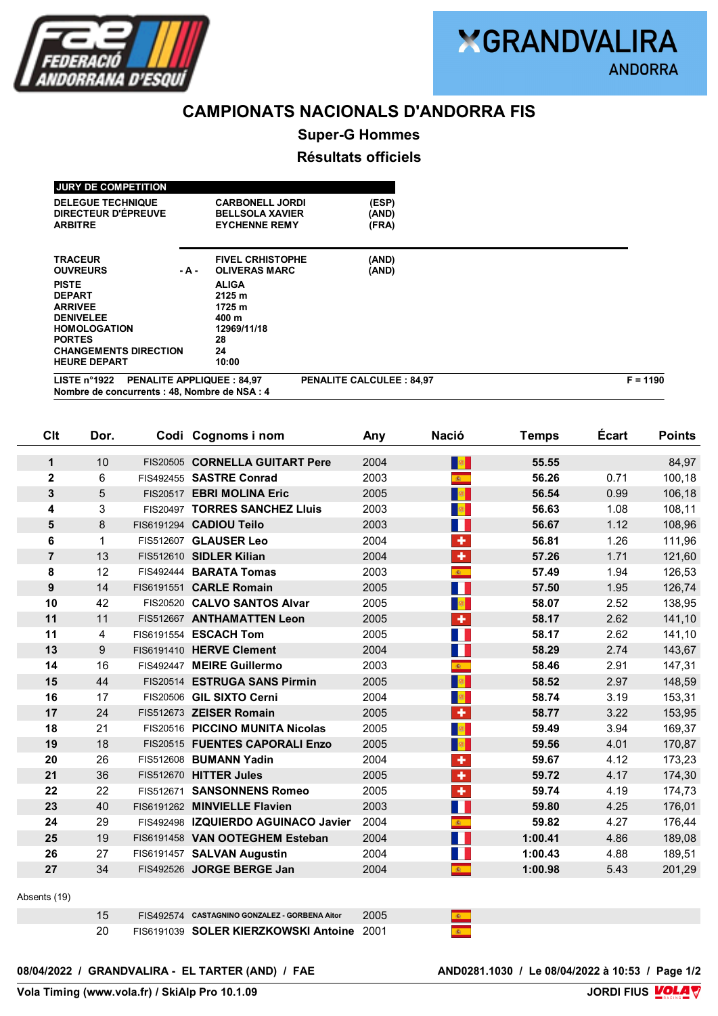

# **CAMPIONATS NACIONALS D'ANDORRA FIS**

**Super-G Hommes**

## **Résultats officiels**

| <b>JURY DE COMPETITION</b>                                                                                                                          |       |                                                                          |                         |  |  |
|-----------------------------------------------------------------------------------------------------------------------------------------------------|-------|--------------------------------------------------------------------------|-------------------------|--|--|
| <b>DELEGUE TECHNIQUE</b><br>DIRECTEUR D'ÉPREUVE<br><b>ARBITRE</b>                                                                                   |       | <b>CARBONELL JORDI</b><br><b>BELLSOLA XAVIER</b><br><b>EYCHENNE REMY</b> | (ESP)<br>(AND)<br>(FRA) |  |  |
| <b>TRACEUR</b><br><b>OUVREURS</b>                                                                                                                   | - A - | <b>FIVEL CRHISTOPHE</b><br><b>OLIVERAS MARC</b>                          | (AND)<br>(AND)          |  |  |
| <b>PISTE</b><br><b>DEPART</b><br><b>ARRIVEE</b>                                                                                                     |       | <b>ALIGA</b><br>2125 m<br>1725 m                                         |                         |  |  |
| <b>DENIVELEE</b><br><b>HOMOLOGATION</b><br><b>PORTES</b>                                                                                            |       | 400 m<br>12969/11/18<br>28                                               |                         |  |  |
| <b>CHANGEMENTS DIRECTION</b><br><b>HEURE DEPART</b>                                                                                                 |       | 24<br>10:00                                                              |                         |  |  |
| $F = 1190$<br>LISTE n°1922<br><b>PENALITE APPLIQUEE : 84,97</b><br><b>PENALITE CALCULEE: 84,97</b><br>Nombre de concurrents : 48, Nombre de NSA : 4 |       |                                                                          |                         |  |  |

| Clt              | Dor.           | Codi Cognoms i nom                  | Any  | <b>Nació</b>            | <b>Temps</b> | <b>Écart</b> | <b>Points</b> |
|------------------|----------------|-------------------------------------|------|-------------------------|--------------|--------------|---------------|
| 1                | 10             | FIS20505 CORNELLA GUITART Pere      | 2004 | $\mathbb{R}^n$          | 55.55        |              | 84,97         |
| $\mathbf 2$      | 6              | FIS492455 SASTRE Conrad             | 2003 | $\mathbf{a}$            | 56.26        | 0.71         | 100,18        |
| 3                | 5              | FIS20517 EBRI MOLINA Eric           | 2005 | <b>B</b>                | 56.54        | 0.99         | 106,18        |
| 4                | 3              | FIS20497 TORRES SANCHEZ Lluis       | 2003 | $\mathbb{R}^n$          | 56.63        | 1.08         | 108,11        |
| 5                | 8              | FIS6191294 CADIOU Teilo             | 2003 | Ш                       | 56.67        | 1.12         | 108,96        |
| 6                | $\mathbf 1$    | FIS512607 GLAUSER Leo               | 2004 | ÷                       | 56.81        | 1.26         | 111,96        |
| $\overline{7}$   | 13             | FIS512610 SIDLER Kilian             | 2004 | ÷                       | 57.26        | 1.71         | 121,60        |
| 8                | 12             | FIS492444 BARATA Tomas              | 2003 | $\mathcal{R}_-$         | 57.49        | 1.94         | 126,53        |
| $\boldsymbol{9}$ | 14             | FIS6191551 CARLE Romain             | 2005 | П                       | 57.50        | 1.95         | 126,74        |
| 10               | 42             | FIS20520 CALVO SANTOS Alvar         | 2005 | $\langle \rangle$       | 58.07        | 2.52         | 138,95        |
| 11               | 11             | FIS512667 ANTHAMATTEN Leon          | 2005 | $\overline{\textbf{r}}$ | 58.17        | 2.62         | 141,10        |
| 11               | $\overline{4}$ | FIS6191554 ESCACH Tom               | 2005 | H.                      | 58.17        | 2.62         | 141,10        |
| 13               | 9              | FIS6191410 HERVE Clement            | 2004 | H                       | 58.29        | 2.74         | 143,67        |
| 14               | 16             | FIS492447 MEIRE Guillermo           | 2003 | $\mathbf{R}^{\top}$     | 58.46        | 2.91         | 147,31        |
| 15               | 44             | FIS20514 ESTRUGA SANS Pirmin        | 2005 | <b>B</b>                | 58.52        | 2.97         | 148,59        |
| 16               | 17             | FIS20506 GIL SIXTO Cerni            | 2004 | $\frac{1}{2}$           | 58.74        | 3.19         | 153,31        |
| 17               | 24             | FIS512673 ZEISER Romain             | 2005 | ÷                       | 58.77        | 3.22         | 153,95        |
| 18               | 21             | FIS20516 PICCINO MUNITA Nicolas     | 2005 | $\frac{1}{2}$           | 59.49        | 3.94         | 169,37        |
| 19               | 18             | FIS20515 FUENTES CAPORALI Enzo      | 2005 | $\frac{1}{2}$           | 59.56        | 4.01         | 170,87        |
| 20               | 26             | FIS512608 BUMANN Yadin              | 2004 | ÷                       | 59.67        | 4.12         | 173,23        |
| 21               | 36             | FIS512670 HITTER Jules              | 2005 | $\overline{\textbf{r}}$ | 59.72        | 4.17         | 174,30        |
| 22               | 22             | FIS512671 SANSONNENS Romeo          | 2005 | ÷                       | 59.74        | 4.19         | 174,73        |
| 23               | 40             | FIS6191262 MINVIELLE Flavien        | 2003 | H                       | 59.80        | 4.25         | 176,01        |
| 24               | 29             | FIS492498 IZQUIERDO AGUINACO Javier | 2004 | $\mathbf{R}_{\perp}$    | 59.82        | 4.27         | 176,44        |
| 25               | 19             | FIS6191458 VAN OOTEGHEM Esteban     | 2004 | H                       | 1:00.41      | 4.86         | 189,08        |
| 26               | 27             | FIS6191457 SALVAN Augustin          | 2004 |                         | 1:00.43      | 4.88         | 189,51        |
| 27               | 34             | FIS492526 JORGE BERGE Jan           | 2004 | $\mathbf{A}$            | 1:00.98      | 5.43         | 201,29        |
|                  |                |                                     |      |                         |              |              |               |

#### Absents (19)

|  | FIS492574 CASTAGNINO GONZALEZ - GORBENA Aitor | 2005 |  |
|--|-----------------------------------------------|------|--|
|  | FIS6191039 SOLER KIERZKOWSKI Antoine 2001     |      |  |

08/04/2022 / GRANDVALIRA - EL TARTER (AND) / FAE

AND0281.1030 / Le 08/04/2022 à 10:53 / Page 1/2<br>JORDI FIUS **MOLA**